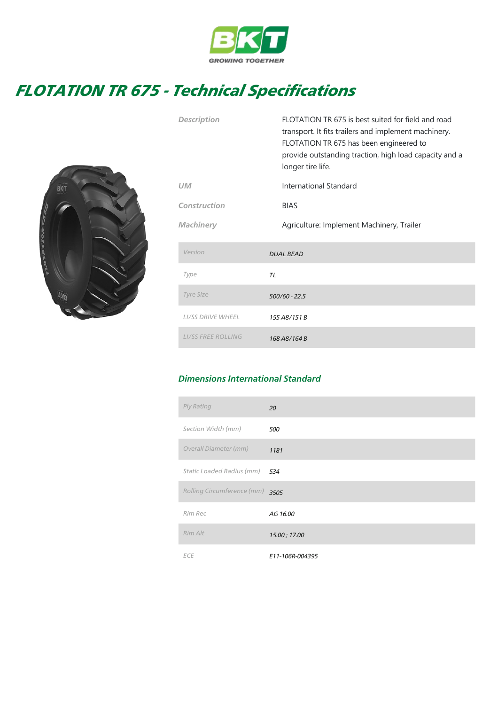

## FLOTATION TR 675 - Technical Specifications



|                           | transport. It fits trailers and implement machinery.<br>FLOTATION TR 675 has been engineered to<br>provide outstanding traction, high load capacity and a<br>longer tire life. |  |
|---------------------------|--------------------------------------------------------------------------------------------------------------------------------------------------------------------------------|--|
| <b>UM</b>                 | International Standard                                                                                                                                                         |  |
| Construction              | <b>BIAS</b>                                                                                                                                                                    |  |
| <b>Machinery</b>          | Agriculture: Implement Machinery, Trailer                                                                                                                                      |  |
| Version                   | <b>DUAL BEAD</b>                                                                                                                                                               |  |
| Type                      | TL                                                                                                                                                                             |  |
| <b>Tyre Size</b>          | 500/60 - 22.5                                                                                                                                                                  |  |
| <b>LI/SS DRIVE WHEEL</b>  | 155 A8/151 B                                                                                                                                                                   |  |
| <b>LI/SS FREE ROLLING</b> | 168 A8/164 B                                                                                                                                                                   |  |

Description FLOTATION TR 675 is best suited for field and road

## Dimensions International Standard

| Ply Rating                 | 20              |
|----------------------------|-----------------|
| Section Width (mm)         | 500             |
| Overall Diameter (mm)      | 1181            |
| Static Loaded Radius (mm)  | 534             |
| Rolling Circumference (mm) | 3505            |
| Rim Rec                    | AG 16.00        |
| Rim Alt                    | 15.00; 17.00    |
| <b>ECE</b>                 | E11-106R-004395 |